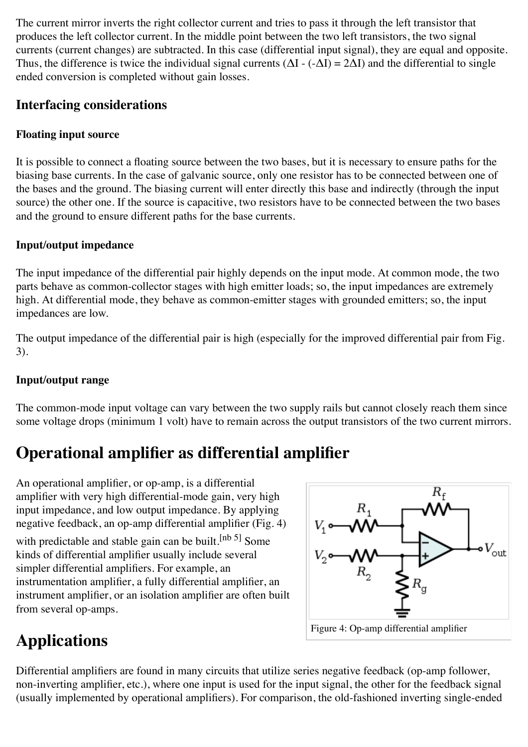The current mirror inverts the right collector current and tries to pass it through the left transistor that produces the left collector current. In the middle point between the two left transistors, the two signal currents (current changes) are subtracted. In this case (differential input signal), they are equal and opposite. Thus, the difference is twice the individual signal currents  $(\Delta I - (-\Delta I) = 2\Delta I)$  and the differential to single ended conversion is completed without gain losses.

### **Interfacing considerations**

#### **Floating input source**

It is possible to connect a floating source between the two bases, but it is necessary to ensure paths for the biasing base currents. In the case of galvanic source, only one resistor has to be connected between one of the bases and the ground. The biasing current will enter directly this base and indirectly (through the input source) the other one. If the source is capacitive, two resistors have to be connected between the two bases and the ground to ensure different paths for the base currents.

#### **Input/output impedance**

The input impedance of the differential pair highly depends on the input mode. At common mode, the two parts behave as common-collector stages with high emitter loads; so, the input impedances are extremely high. At differential mode, they behave as common-emitter stages with grounded emitters; so, the input impedances are low.

The output impedance of the differential pair is high (especially for the improved differential pair from Fig. 3).

#### **Input/output range**

The common-mode input voltage can vary between the two supply rails but cannot closely reach them since some voltage drops (minimum 1 volt) have to remain across the output transistors of the two current mirrors.

## **Operational amplifier as differential amplifier**

An [operational amplifier,](http://en.wikipedia.org/wiki/Operational_amplifier) or op-amp, is a differential amplifier with very high differential-mode gain, very high input impedance, and low output impedance. By applying negative feedback, an op-amp differential amplifier (Fig. 4) with predictable and stable gain can be built.<sup>[\[nb 5\]](http://en.wikipedia.org/wiki/Differential_amplifier#cite_note-11)</sup> Some kinds of differential amplifier usually include several simpler differential amplifiers. For example, an [instrumentation amplifier,](http://en.wikipedia.org/wiki/Instrumentation_amplifier) a [fully differential amplifier,](http://en.wikipedia.org/wiki/Fully_differential_amplifier) an [instrument amplifier,](http://en.wikipedia.org/wiki/Instrument_amplifier) or an [isolation amplifier](http://en.wikipedia.org/wiki/Isolation_amplifier) are often built from several op-amps.



# **Applications**

Differential amplifiers are found in many circuits that utilize series [negative feedback](http://en.wikipedia.org/wiki/Negative_feedback) (op-amp follower, non-inverting amplifier, etc.), where one input is used for the input signal, the other for the feedback signal (usually implemented by [operational amplifiers\)](http://en.wikipedia.org/wiki/Operational_amplifier). For comparison, the old-fashioned inverting single-ended